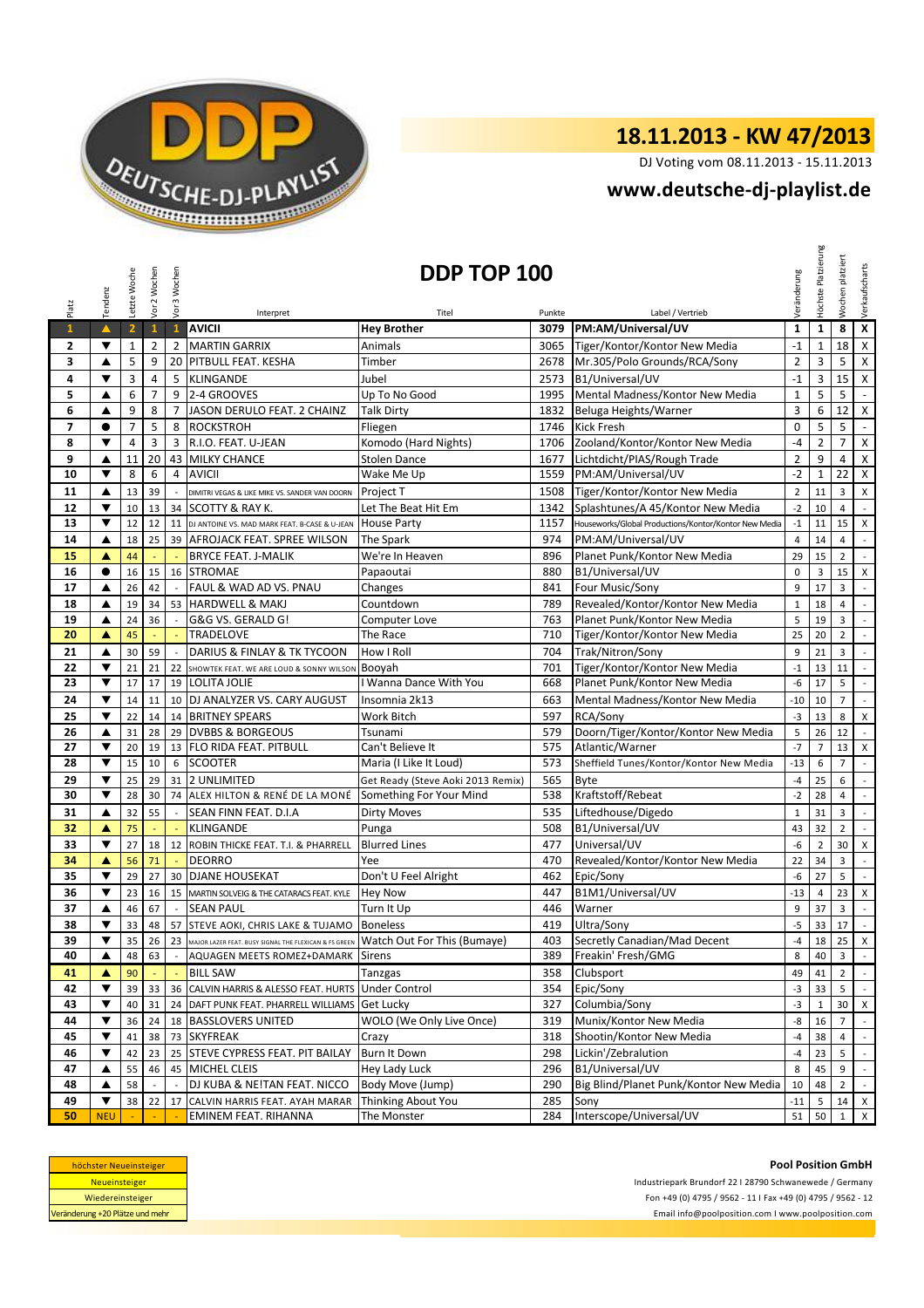

## **18.11.2013 - KW 47/2013**

DJ Voting vom 08.11.2013 - 15.11.2013

## **<www.deutsche-dj-playlist.de>**

|              | Tendenz                 | Letzte Woche            | Vor 2 Wochen   | Vor 3 Wochen             |                                                                                      | DDP TOP 100                       |            |                                                       | Veränderung    | Platzierung<br>Höchste | platziert<br>Wochen | Verkaufscharts            |
|--------------|-------------------------|-------------------------|----------------|--------------------------|--------------------------------------------------------------------------------------|-----------------------------------|------------|-------------------------------------------------------|----------------|------------------------|---------------------|---------------------------|
| Platz        |                         |                         |                |                          | Interpret                                                                            | Titel                             | Punkte     | Label / Vertrieb                                      |                |                        |                     |                           |
| $\mathbf{1}$ | $\blacktriangle$        | $\overline{\mathbf{2}}$ | $\mathbf{1}$   | $\mathbf{1}$             | <b>AVICII</b>                                                                        | <b>Hey Brother</b>                | 3079       | PM:AM/Universal/UV                                    | $\mathbf{1}$   | 1                      | 8                   | $\pmb{\mathsf{x}}$        |
| 2            | ▼                       | $\mathbf{1}$            | $\overline{2}$ | $\overline{2}$           | <b>MARTIN GARRIX</b>                                                                 | Animals                           | 3065       | Tiger/Kontor/Kontor New Media                         | $-1$           | 1                      | 18                  | $\mathsf{X}$              |
| 3            | ▲                       | 5                       | 9              | 20                       | PITBULL FEAT. KESHA                                                                  | Timber                            | 2678       | Mr.305/Polo Grounds/RCA/Sony                          | $\overline{2}$ | 3                      | 5                   | $\pmb{\times}$            |
| 4            | ▼                       | 3                       | 4              | 5                        | <b>KLINGANDE</b>                                                                     | Jubel                             | 2573       | B1/Universal/UV                                       | $-1$           | 3                      | 15                  | $\pmb{\mathsf{X}}$        |
| 5            | ▲                       | 6                       | $\overline{7}$ | 9                        | 2-4 GROOVES                                                                          | Up To No Good                     | 1995       | Mental Madness/Kontor New Media                       | $\mathbf{1}$   | 5                      | 5                   | $\omega$                  |
| 6            | ▲                       | 9                       | 8              |                          | 7 JASON DERULO FEAT. 2 CHAINZ                                                        | <b>Talk Dirty</b>                 | 1832       | Beluga Heights/Warner                                 | $\overline{3}$ | 6                      | 12                  | $\pmb{\mathsf{X}}$        |
| 7            | $\bullet$               | $\overline{7}$          | 5              | 8                        | ROCKSTROH                                                                            | Fliegen                           | 1746       | <b>Kick Fresh</b>                                     | $\mathbf 0$    | 5                      | 5                   | $\omega$                  |
| 8            | ▼                       | 4                       | 3              |                          | 3 R.I.O. FEAT. U-JEAN                                                                | Komodo (Hard Nights)              | 1706       | Zooland/Kontor/Kontor New Media                       | $-4$           | $\overline{2}$         | $\overline{7}$      | $\pmb{\times}$            |
| 9            | ▲                       | 11                      | 20             | 43                       | <b>MILKY CHANCE</b>                                                                  | <b>Stolen Dance</b>               | 1677       | Lichtdicht/PIAS/Rough Trade                           | $\overline{2}$ | 9                      | 4                   | $\pmb{\mathsf{X}}$        |
| 10           | ▼                       | 8                       | 6              | 4                        | <b>AVICII</b>                                                                        | Wake Me Up                        | 1559       | PM:AM/Universal/UV                                    | $-2$           | $\mathbf{1}$           | 22                  | $\pmb{\mathsf{X}}$        |
| 11           | ▲                       | 13                      | 39             |                          | DIMITRI VEGAS & LIKE MIKE VS. SANDER VAN DOORN                                       | Project T                         | 1508       | Tiger/Kontor/Kontor New Media                         | $\mathbf 2$    | 11                     | 3                   | X                         |
| 12           | ▼                       | 10                      | 13             |                          | 34 SCOTTY & RAY K.                                                                   | Let The Beat Hit Em               | 1342       | Splashtunes/A 45/Kontor New Media                     | $-2$           | 10                     | $\overline{4}$      | $\mathcal{L}$             |
| 13           | ▼                       | 12                      | 12             | 11                       | DJ ANTOINE VS. MAD MARK FEAT. B-CASE & U-JEAN                                        | <b>House Party</b>                | 1157       | Houseworks/Global Productions/Kontor/Kontor New Media | $-1$           | 11                     | 15                  | $\pmb{\mathsf{X}}$        |
| 14           | ▲                       | 18                      | 25             |                          | 39 AFROJACK FEAT. SPREE WILSON                                                       | The Spark                         | 974        | PM:AM/Universal/UV                                    | $\overline{4}$ | 14                     | $\overline{4}$      | $\mathbb{L}$              |
| 15           | ▲                       | 44                      |                |                          | <b>BRYCE FEAT. J-MALIK</b>                                                           | We're In Heaven                   | 896        | Planet Punk/Kontor New Media                          | 29             | 15                     | $\overline{2}$      | $\mathbb{R}^2$            |
| 16           | $\bullet$               | 16                      | 15             | 16                       | <b>STROMAE</b>                                                                       | Papaoutai                         | 880        | B1/Universal/UV                                       | $\mathbf 0$    | 3                      | 15                  | $\pmb{\mathsf{X}}$        |
| 17           | ▲                       | 26                      | 42             | $\sim$                   | FAUL & WAD AD VS. PNAU                                                               | Changes                           | 841        | Four Music/Sony                                       | 9              | 17                     | 3                   | $\mathbb{Z}^2$            |
| 18           | $\blacktriangle$        | 19                      | 34             | 53                       | <b>HARDWELL &amp; MAKJ</b>                                                           | Countdown                         | 789        | Revealed/Kontor/Kontor New Media                      | $\mathbf 1$    | 18                     | $\overline{4}$      | $\sim$                    |
| 19           | ▲                       | 24                      | 36             | $\sim$                   | G&G VS. GERALD G!                                                                    | Computer Love                     | 763        | Planet Punk/Kontor New Media                          | 5              | 19                     | $\mathsf 3$         | $\mathcal{L}^{\pm}$       |
| 20           | ▲                       | 45                      | ÷,             |                          | <b>TRADELOVE</b>                                                                     | The Race                          | 710        | Tiger/Kontor/Kontor New Media                         | 25             | 20                     | $\overline{2}$      | $\mathbb{L}$              |
| 21           | ▲                       | 30                      | 59             | $\sim$                   | DARIUS & FINLAY & TK TYCOON                                                          | How I Roll                        | 704        | Trak/Nitron/Sony                                      | 9              | 21                     | 3                   | $\sim$                    |
| 22           | ▼                       | 21                      | 21             | 22                       | SHOWTEK FEAT. WE ARE LOUD & SONNY WILSON                                             | Booyah                            | 701        | Tiger/Kontor/Kontor New Media                         | $-1$           | 13                     | 11                  | $\sim$                    |
| 23           | ▼                       | 17                      | 17             | 19                       | <b>LOLITA JOLIE</b>                                                                  | I Wanna Dance With You            | 668        | Planet Punk/Kontor New Media                          | -6             | 17                     | 5                   | $\sim$                    |
| 24           | ▼                       | 14                      | 11             |                          | 10 DJ ANALYZER VS. CARY AUGUST                                                       | Insomnia 2k13                     | 663        | Mental Madness/Kontor New Media                       | $-10$          | 10                     | $\overline{7}$      | $\mathbb{Z}^2$            |
| 25           | $\overline{\mathbf{v}}$ | 22                      | 14             |                          | 14 BRITNEY SPEARS                                                                    | Work Bitch                        | 597        | RCA/Sony                                              | $-3$           | 13                     | 8                   | X                         |
| 26           | ▲                       | 31                      | 28             |                          | 29 DVBBS & BORGEOUS                                                                  | Tsunami                           | 579        | Doorn/Tiger/Kontor/Kontor New Media                   | 5              | 26                     | 12                  | $\sim$                    |
| 27           | ▼                       | 20                      | 19             | 13                       | <b>FLO RIDA FEAT. PITBULL</b>                                                        | Can't Believe It                  | 575        | Atlantic/Warner                                       | $-7$           | $\overline{7}$         | 13                  | X                         |
| 28           | ▼                       | 15                      | 10             | 6                        | <b>SCOOTER</b>                                                                       | Maria (I Like It Loud)            | 573        | Sheffield Tunes/Kontor/Kontor New Media               | $-13$          | 6                      | $\overline{7}$      | $\mathbb{Z}^2$            |
| 29           | ▼                       | 25                      | 29             |                          | 31 2 UNLIMITED                                                                       | Get Ready (Steve Aoki 2013 Remix) | 565        | <b>Byte</b>                                           | $-4$           | 25                     | 6                   | $\mathcal{L}$             |
| 30           | ▼                       | 28                      | 30             |                          | 74 ALEX HILTON & RENÉ DE LA MONÉ                                                     | Something For Your Mind           | 538        | Kraftstoff/Rebeat                                     | $-2$           | 28                     | $\overline{4}$      | $\mathbb{Z}^2$            |
| 31           | ▲                       | 32                      | 55             | $\overline{\phantom{a}}$ | SEAN FINN FEAT. D.I.A                                                                | <b>Dirty Moves</b>                | 535        | Liftedhouse/Digedo                                    | $\mathbf{1}$   | 31                     | 3                   | $\sim$                    |
| 32           | ▲                       | 75                      | ÷.             | ÷.                       | <b>KLINGANDE</b>                                                                     | Punga                             | 508        | B1/Universal/UV                                       | 43             | 32                     | $\overline{2}$      | $\sim$                    |
| 33           | ▼                       | 27                      | 18<br>71       |                          | 12 ROBIN THICKE FEAT. T.I. & PHARRELL                                                | <b>Blurred Lines</b>              | 477        | Universal/UV                                          | -6             | $\overline{2}$         | 30                  | $\pmb{\mathsf{X}}$        |
| 34<br>35     | ▲<br>▼                  | 56                      | 27             | G.                       | <b>DEORRO</b><br>30 DJANE HOUSEKAT                                                   | Yee                               | 470<br>462 | Revealed/Kontor/Kontor New Media                      | 22             | 34                     | 3                   | $\mathbb{Z}^{\mathbb{Z}}$ |
|              | $\blacktriangledown$    | 29                      | 16             |                          |                                                                                      | Don't U Feel Alright              | 447        | Epic/Sony<br>B1M1/Universal/UV                        | -6<br>$-13$    | 27                     | 5<br>23             | $\mathbb{Z}^2$            |
| 36<br>37     | ▲                       | 23<br>46                | 67             | $\sim$                   | 15 MARTIN SOLVEIG & THE CATARACS FEAT. KYLE<br><b>SEAN PAUL</b>                      | <b>Hey Now</b><br>Turn It Up      | 446        | Warner                                                | 9              | 4<br>37                | $\overline{3}$      | X<br>$\mathbb{Z}^+$       |
| 38           | ▼                       | 33                      | 48             | 57                       | STEVE AOKI, CHRIS LAKE & TUJAMO                                                      | <b>Boneless</b>                   | 419        | Ultra/Sony                                            | $-5$           | 33                     | 17                  | $\mathbb{Z}^2$            |
| 39           |                         |                         |                |                          | 23 MAJOR LAZER FEAT. BUSY SIGNAL THE FLEXICAN & FS GREEN Watch Out For This (Bumaye) |                                   | 403        | Secretly Canadian/Mad Decent                          |                |                        |                     |                           |
| 40           | ▲                       | 35<br>48                | 26<br>63       |                          | AQUAGEN MEETS ROMEZ+DAMARK Sirens                                                    |                                   | 389        | Freakin' Fresh/GMG                                    | -4<br>8        | 18  <br>40             | $25$ X<br>3         | $\mathbb{Z}^2$            |
| 41           | ▲                       | 90                      |                |                          | <b>BILL SAW</b>                                                                      | Tanzgas                           | 358        | Clubsport                                             | 49             | 41                     | $\overline{2}$      | $\sim$                    |
| 42           | ▼                       | 39                      | 33             |                          | 36 CALVIN HARRIS & ALESSO FEAT. HURTS                                                | <b>Under Control</b>              | 354        | Epic/Sony                                             | $-3$           | 33                     | 5                   | $\sim$                    |
| 43           | $\blacktriangledown$    | 40                      | 31             |                          | 24 DAFT PUNK FEAT. PHARRELL WILLIAMS                                                 | Get Lucky                         | 327        | Columbia/Sony                                         | $-3$           | 1                      | 30                  | $\mathsf{X}$              |
| 44           | ▼                       | 36                      | 24             |                          | 18 BASSLOVERS UNITED                                                                 | WOLO (We Only Live Once)          | 319        | Munix/Kontor New Media                                | -8             | 16                     | $\overline{7}$      | $\mathbb{Z}^{\mathbb{Z}}$ |
| 45           | $\blacktriangledown$    | 41                      | 38             |                          | 73 SKYFREAK                                                                          | Crazy                             | 318        | Shootin/Kontor New Media                              | $-4$           | 38                     | 4                   | $\mathbb{Z}^{\mathbb{Z}}$ |
| 46           | ▼                       | 42                      | 23             |                          | 25 STEVE CYPRESS FEAT. PIT BAILAY                                                    | Burn It Down                      | 298        | Lickin'/Zebralution                                   | $-4$           | 23                     | 5                   | $\sim$                    |
| 47           | ▲                       | 55                      | 46             | 45                       | MICHEL CLEIS                                                                         | Hey Lady Luck                     | 296        | B1/Universal/UV                                       | 8              | 45                     | 9                   | $\mathbb{L}$              |
| 48           | ▲                       | 58                      |                |                          | DJ KUBA & NE!TAN FEAT. NICCO                                                         | Body Move (Jump)                  | 290        | Big Blind/Planet Punk/Kontor New Media                | 10             | 48                     | $\overline{2}$      | $\sim$                    |
| 49           | ▼                       | 38                      | 22             | 17                       | CALVIN HARRIS FEAT. AYAH MARAR                                                       | Thinking About You                | 285        | Sonv                                                  | $-11$          | 5                      | 14                  | $\mathsf{X}$              |
| 50           | <b>NEU</b>              |                         |                |                          | EMINEM FEAT. RIHANNA                                                                 | The Monster                       | 284        | Interscope/Universal/UV                               | 51             | 50                     | $\mathbf{1}$        | $\mathsf{x}$              |

| höchster Neueinsteiger          |
|---------------------------------|
| <b>Neueinsteiger</b>            |
| Wiedereinsteiger                |
| Veränderung +20 Plätze und mehr |

**Pool Position GmbH** Industriepark Brundorf 22 I 28790 Schwanewede / Germany Fon +49 (0) 4795 / 9562 - 11 I Fax +49 (0) 4795 / 9562 - 12 <Email info@poolposition.com I www.poolposition.com>